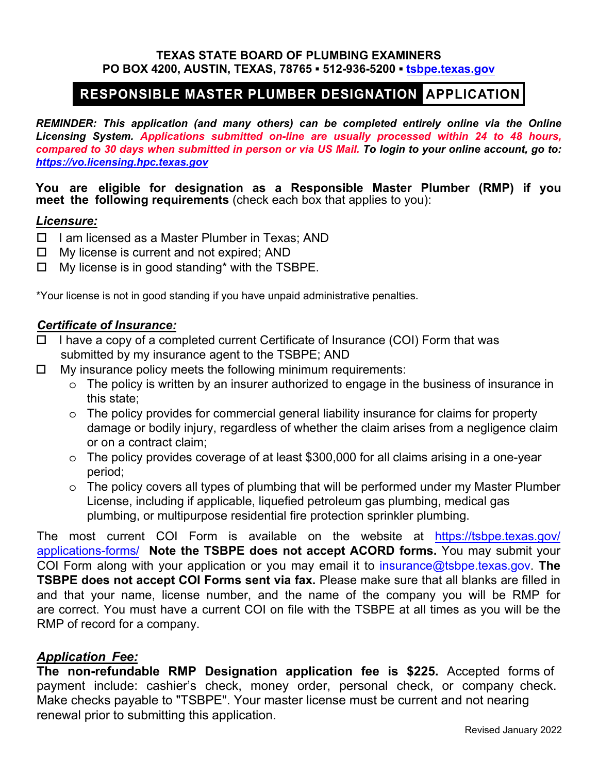#### **TEXAS STATE BOARD OF PLUMBING EXAMINERS PO BOX 4200, AUSTIN, TEXAS, 78765 ▪ 512-936-5200 ▪ [tsbpe.texas.gov](https://tsbpe.texas.gov)**

# RESPONSIBLE MASTER PLUMBER DESIGNATION APPLICATION

*REMINDER: This application (and many others) can be completed entirely online via the Online Licensing System. Applications submitted on-line are usually processed within 24 to 48 hours, compared to 30 days when submitted in person or via US Mail. To login to your online account, go to: <https://vo.licensing.hpc.texas.gov>*

**You are eligible for designation as a Responsible Master Plumber (RMP) if you meet the following requirements** (check each box that applies to you):

### *Licensure:*

- $\Box$  I am licensed as a Master Plumber in Texas; AND
- $\Box$  My license is current and not expired; AND
- $\Box$  My license is in good standing\* with the TSBPE.

\*Your license is not in good standing if you have unpaid administrative penalties.

## *Certificate of Insurance:*

- $\Box$  I have a copy of a completed current Certificate of Insurance (COI) Form that was submitted by my insurance agent to the TSBPE; AND
- $\Box$  My insurance policy meets the following minimum requirements:
	- o The policy is written by an insurer authorized to engage in the business of insurance in this state;
	- o The policy provides for commercial general liability insurance for claims for property damage or bodily injury, regardless of whether the claim arises from a negligence claim or on a contract claim;
	- o The policy provides coverage of at least \$300,000 for all claims arising in a one-year period;
	- o The policy covers all types of plumbing that will be performed under my Master Plumber License, including if applicable, liquefied petroleum gas plumbing, medical gas plumbing, or multipurpose residential fire protection sprinkler plumbing.

The most current COI Form is available on the website at [https://tsbpe.texas.gov/](https://tsbpe.texas.gov/applications-forms/) [applications-forms/](https://tsbpe.texas.gov/) **Note the TSBPE does not accept ACORD forms.** You may submit your COI Form along with your application or you may email it to [insurance@tsbpe.texas.gov.](mailto:insurance@tsbpe.texas.gov) **The TSBPE does not accept COI Forms sent via fax.** Please make sure that all blanks are filled in and that your name, license number, and the name of the company you will be RMP for are correct. You must have a current COI on file with the TSBPE at all times as you will be the RMP of record for a company.

# *Application Fee:*

**The non-refundable RMP Designation application fee is \$225.** Accepted forms of payment include: cashier's check, money order, personal check, or company check. Make checks payable to "TSBPE". Your master license must be current and not nearing renewal prior to submitting this application.